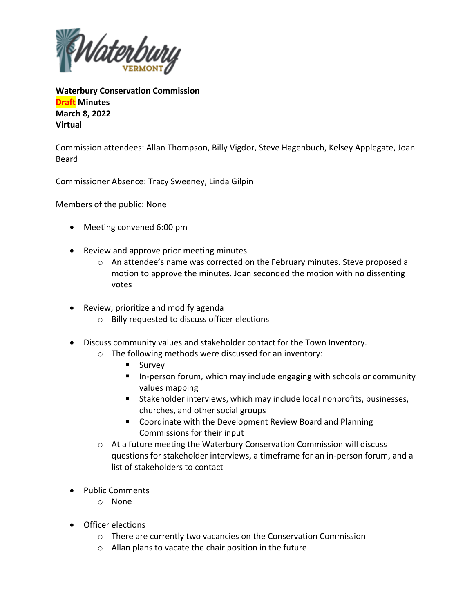

**Waterbury Conservation Commission Draft Minutes March 8, 2022 Virtual**

Commission attendees: Allan Thompson, Billy Vigdor, Steve Hagenbuch, Kelsey Applegate, Joan Beard

Commissioner Absence: Tracy Sweeney, Linda Gilpin

Members of the public: None

- Meeting convened 6:00 pm
- Review and approve prior meeting minutes
	- $\circ$  An attendee's name was corrected on the February minutes. Steve proposed a motion to approve the minutes. Joan seconded the motion with no dissenting votes
- Review, prioritize and modify agenda
	- o Billy requested to discuss officer elections
- Discuss community values and stakeholder contact for the Town Inventory.
	- o The following methods were discussed for an inventory:
		- Survey
		- In-person forum, which may include engaging with schools or community values mapping
		- Stakeholder interviews, which may include local nonprofits, businesses, churches, and other social groups
		- Coordinate with the Development Review Board and Planning Commissions for their input
	- $\circ$  At a future meeting the Waterbury Conservation Commission will discuss questions for stakeholder interviews, a timeframe for an in-person forum, and a list of stakeholders to contact
- Public Comments
	- o None
- Officer elections
	- o There are currently two vacancies on the Conservation Commission
	- o Allan plans to vacate the chair position in the future